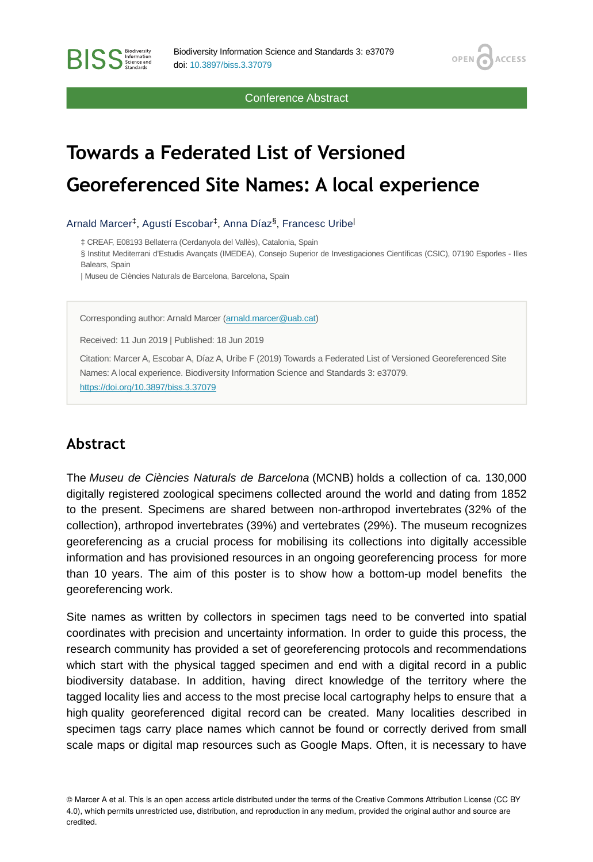Conference Abstract

**OPEN** 

**ACCESS** 

# **Towards a Federated List of Versioned Georeferenced Site Names: A local experience**

Arnald Marcer<sup>‡</sup>, Agustí Escobar<sup>‡</sup>, Anna Díaz<sup>§</sup>, Francesc Uribe<sup>l</sup>

‡ CREAF, E08193 Bellaterra (Cerdanyola del Vallès), Catalonia, Spain

§ Institut Mediterrani d'Estudis Avançats (IMEDEA), Consejo Superior de Investigaciones Científicas (CSIC), 07190 Esporles - Illes Balears, Spain

| Museu de Ciències Naturals de Barcelona, Barcelona, Spain

Corresponding author: Arnald Marcer [\(arnald.marcer@uab.cat\)](mailto:arnald.marcer@uab.cat)

Received: 11 Jun 2019 | Published: 18 Jun 2019

Citation: Marcer A, Escobar A, Díaz A, Uribe F (2019) Towards a Federated List of Versioned Georeferenced Site Names: A local experience. Biodiversity Information Science and Standards 3: e37079. <https://doi.org/10.3897/biss.3.37079>

### **Abstract**

**BISS** Steince and

The *Museu de Ciències Naturals de Barcelona* (MCNB) holds a collection of ca. 130,000 digitally registered zoological specimens collected around the world and dating from 1852 to the present. Specimens are shared between non-arthropod invertebrates (32% of the collection), arthropod invertebrates (39%) and vertebrates (29%). The museum recognizes georeferencing as a crucial process for mobilising its collections into digitally accessible information and has provisioned resources in an ongoing georeferencing process for more than 10 years. The aim of this poster is to show how a bottom-up model benefits the georeferencing work.

Site names as written by collectors in specimen tags need to be converted into spatial coordinates with precision and uncertainty information. In order to guide this process, the research community has provided a set of georeferencing protocols and recommendations which start with the physical tagged specimen and end with a digital record in a public biodiversity database. In addition, having direct knowledge of the territory where the tagged locality lies and access to the most precise local cartography helps to ensure that a high quality georeferenced digital record can be created. Many localities described in specimen tags carry place names which cannot be found or correctly derived from small scale maps or digital map resources such as Google Maps. Often, it is necessary to have

© Marcer A et al. This is an open access article distributed under the terms of the Creative Commons Attribution License (CC BY 4.0), which permits unrestricted use, distribution, and reproduction in any medium, provided the original author and source are credited.